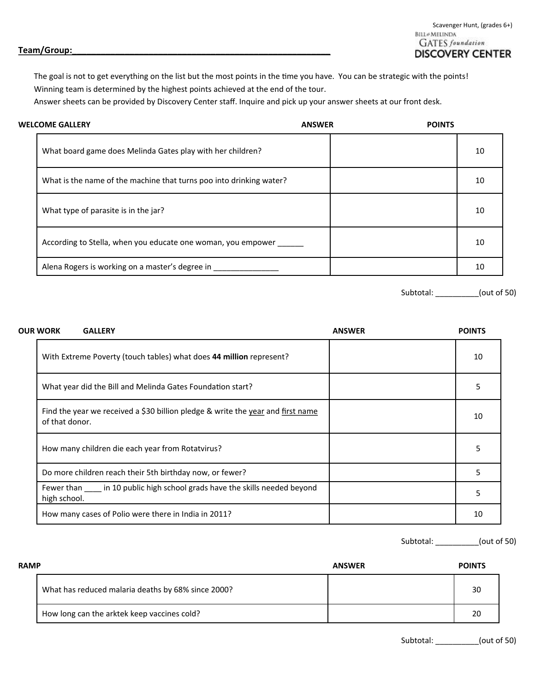Scavenger Hunt, (grades 6+)<br>BILL + MELINDA **GATES** foundation **DISCOVERY CENTER** 

## **Team/Group:\_\_\_\_\_\_\_\_\_\_\_\_\_\_\_\_\_\_\_\_\_\_\_\_\_\_\_\_\_\_\_\_\_\_\_\_\_\_\_\_\_\_\_\_\_\_\_\_\_\_\_\_\_\_**

The goal is not to get everything on the list but the most points in the time you have. You can be strategic with the points! Winning team is determined by the highest points achieved at the end of the tour.

Answer sheets can be provided by Discovery Center staff. Inquire and pick up your answer sheets at our front desk.

| <b>WELCOME GALLERY</b>                                              | <b>ANSWER</b> | <b>POINTS</b> |    |
|---------------------------------------------------------------------|---------------|---------------|----|
| What board game does Melinda Gates play with her children?          |               |               | 10 |
| What is the name of the machine that turns poo into drinking water? |               |               | 10 |
| What type of parasite is in the jar?                                |               |               | 10 |
| According to Stella, when you educate one woman, you empower _____  |               |               | 10 |
| Alena Rogers is working on a master's degree in                     |               |               | 10 |

Subtotal: \_\_\_\_\_\_\_\_\_\_(out of 50)

| <b>OUR WORK</b><br><b>GALLERY</b>                                                                 | <b>ANSWER</b> | <b>POINTS</b> |
|---------------------------------------------------------------------------------------------------|---------------|---------------|
| With Extreme Poverty (touch tables) what does 44 million represent?                               |               | 10            |
| What year did the Bill and Melinda Gates Foundation start?                                        |               |               |
| Find the year we received a \$30 billion pledge & write the year and first name<br>of that donor. |               | 10            |
| How many children die each year from Rotatvirus?                                                  |               | 5             |
| Do more children reach their 5th birthday now, or fewer?                                          |               | 5             |
| Fewer than in 10 public high school grads have the skills needed beyond<br>high school.           |               | 5             |
| How many cases of Polio were there in India in 2011?                                              |               | 10            |

Subtotal: \_\_\_\_\_\_\_\_\_\_(out of 50)

| <b>RAMP</b> |                                                    | <b>ANSWER</b> | <b>POINTS</b> |
|-------------|----------------------------------------------------|---------------|---------------|
|             | What has reduced malaria deaths by 68% since 2000? |               | 30            |
|             | How long can the arktek keep vaccines cold?        |               | 20            |

Subtotal: \_\_\_\_\_\_\_\_\_\_(out of 50)